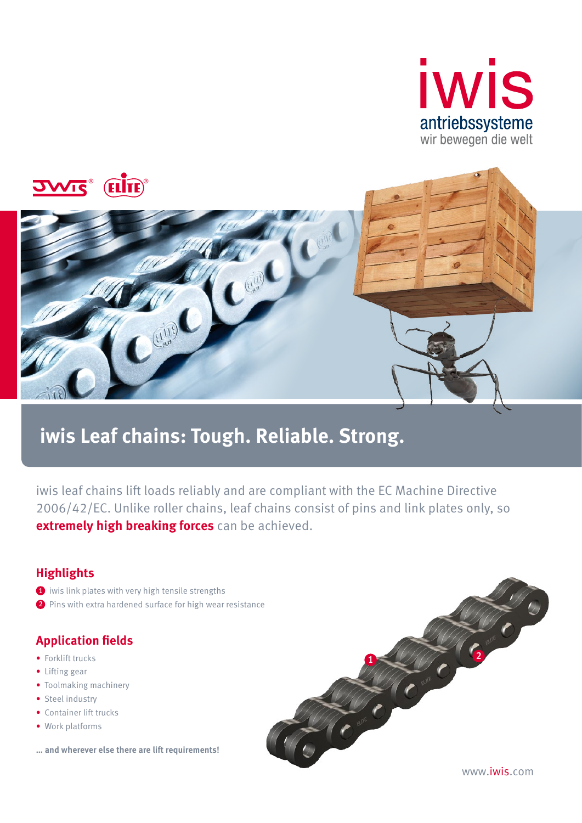



# **iwis Leaf chains: Tough. Reliable. Strong.**

iwis leaf chains lift loads reliably and are compliant with the EC Machine Directive 2006/42/EC. Unlike roller chains, leaf chains consist of pins and link plates only, so **extremely high breaking forces** can be achieved.

## **Highlights**

- 1 iwis link plates with very high tensile strengths
- 2 Pins with extra hardened surface for high wear resistance

## **Application fields**

- Forklift trucks
- Lifting gear
- Toolmaking machinery
- Steel industry
- Container lift trucks
- Work platforms
- **… and wherever else there are lift requirements!**



www.iwis.com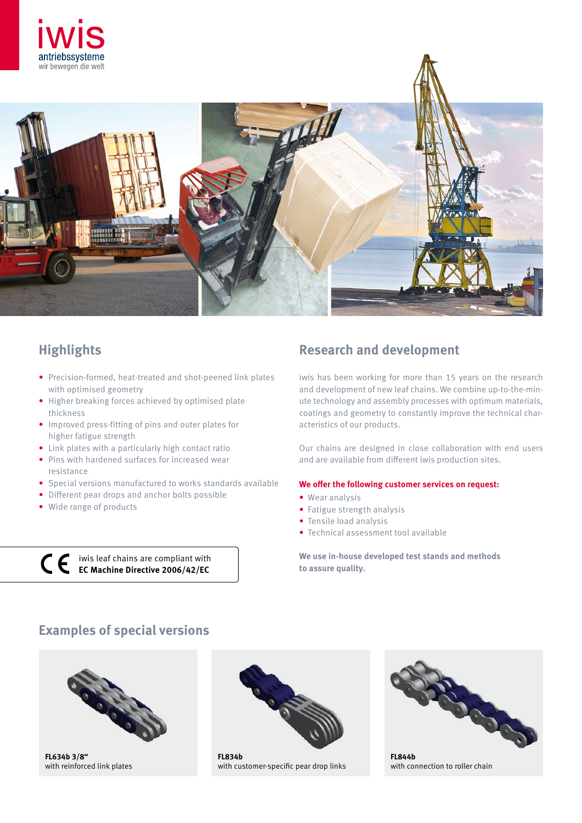



- Precision-formed, heat-treated and shot-peened link plates with optimised geometry
- Higher breaking forces achieved by optimised plate thickness
- Improved press-fitting of pins and outer plates for higher fatigue strength
- Link plates with a particularly high contact ratio
- Pins with hardened surfaces for increased wear resistance
- Special versions manufactured to works standards available
- Different pear drops and anchor bolts possible
- Wide range of products

iwis leaf chains are compliant with **EC Machine Directive 2006/42/EC**

## **Highlights Highlights Research and development**

iwis has been working for more than 15 years on the research and development of new leaf chains. We combine up-to-the-minute technology and assembly processes with optimum materials, coatings and geometry to constantly improve the technical characteristics of our products.

Our chains are designed in close collaboration with end users and are available from different iwis production sites.

#### **We offer the following customer services on request:**

- Wear analysis
- Fatigue strength analysis
- Tensile load analysis
- Technical assessment tool available

**We use in-house developed test stands and methods to assure quality.**

## **Examples of special versions**



**FL634b 3/8"** with reinforced link plates



**FL834b** with customer-specific pear drop links



**FL844b** with connection to roller chain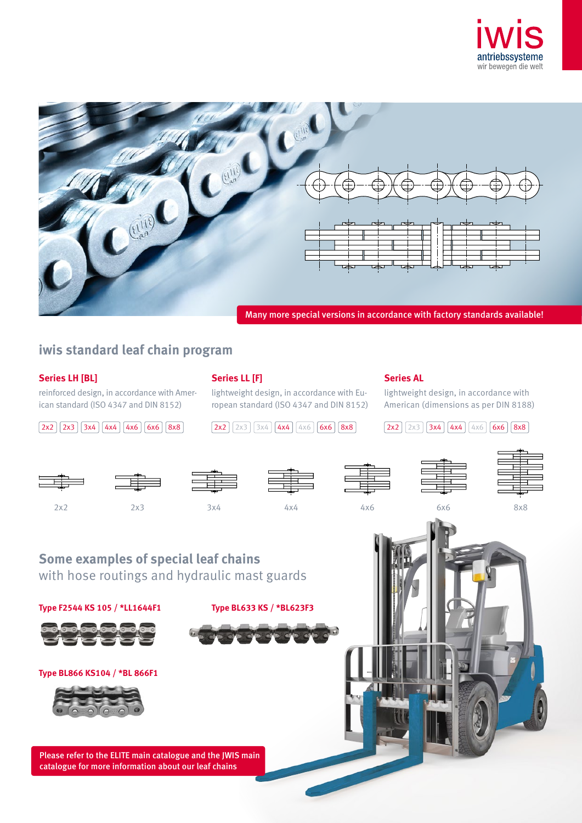



## **iwis standard leaf chain program**

## **Series LH [BL]**

reinforced design, in accordance with American standard (ISO 4347 and DIN 8152)

**Series LL [F]**

lightweight design, in accordance with European standard (ISO 4347 and DIN 8152)

 $2x2$   $2x3$   $3x4$   $4x4$   $4x6$   $6x6$   $8x8$   $2x2$   $2x3$   $3x4$   $4x4$   $4x6$   $6x6$   $8x8$   $2x2$   $2x3$   $3x4$   $4x4$   $4x6$   $6x6$   $8x8$ 

### **Series AL**

lightweight design, in accordance with American (dimensions as per DIN 8188)



**Type F2544 KS 105 / \*LL1644F1 Type BL633 KS / \*BL623F3**



**Type BL866 KS104 / \*BL 866F1**

Please refer to the ELITE main catalogue and the JWIS main catalogue for more information about our leaf chains